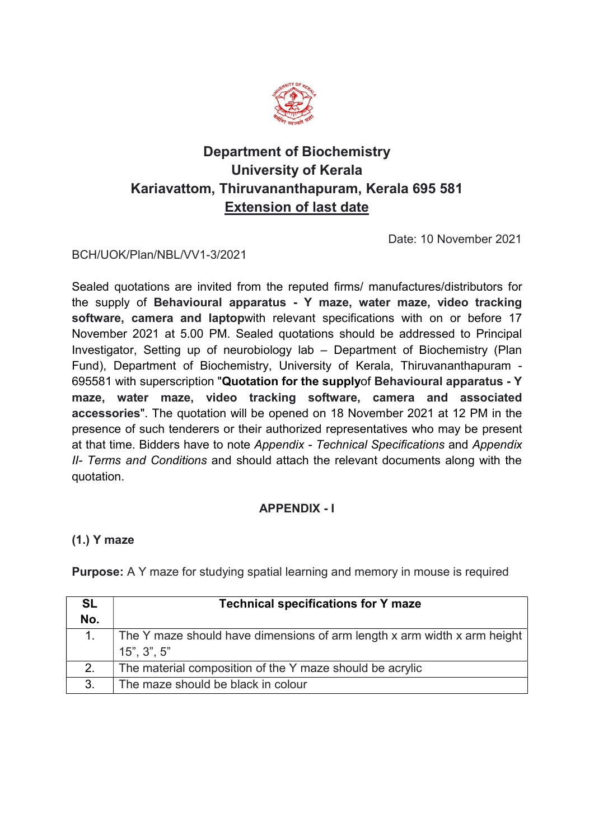

# Department of Biochemistry University of Kerala Kariavattom, Thiruvananthapuram, Kerala 695 581 Extension of last date

Date: 10 November 2021

### BCH/UOK/Plan/NBL/VV1-3/2021

Sealed quotations are invited from the reputed firms/ manufactures/distributors for the supply of Behavioural apparatus - Y maze, water maze, video tracking software, camera and laptopwith relevant specifications with on or before 17 November 2021 at 5.00 PM. Sealed quotations should be addressed to Principal Investigator, Setting up of neurobiology lab – Department of Biochemistry (Plan Fund), Department of Biochemistry, University of Kerala, Thiruvananthapuram - 695581 with superscription "Quotation for the supplyof Behavioural apparatus - Y maze, water maze, video tracking software, camera and associated accessories". The quotation will be opened on 18 November 2021 at 12 PM in the presence of such tenderers or their authorized representatives who may be present at that time. Bidders have to note Appendix - Technical Specifications and Appendix II- Terms and Conditions and should attach the relevant documents along with the quotation.

## APPENDIX - I

### (1.) Y maze

Purpose: A Y maze for studying spatial learning and memory in mouse is required

| <b>SL</b>      | <b>Technical specifications for Y maze</b>                               |  |  |  |
|----------------|--------------------------------------------------------------------------|--|--|--|
| No.            |                                                                          |  |  |  |
|                | The Y maze should have dimensions of arm length x arm width x arm height |  |  |  |
|                | $15$ ", $3$ ", $5$ "                                                     |  |  |  |
| 2.             | The material composition of the Y maze should be acrylic                 |  |  |  |
| 3 <sub>1</sub> | The maze should be black in colour                                       |  |  |  |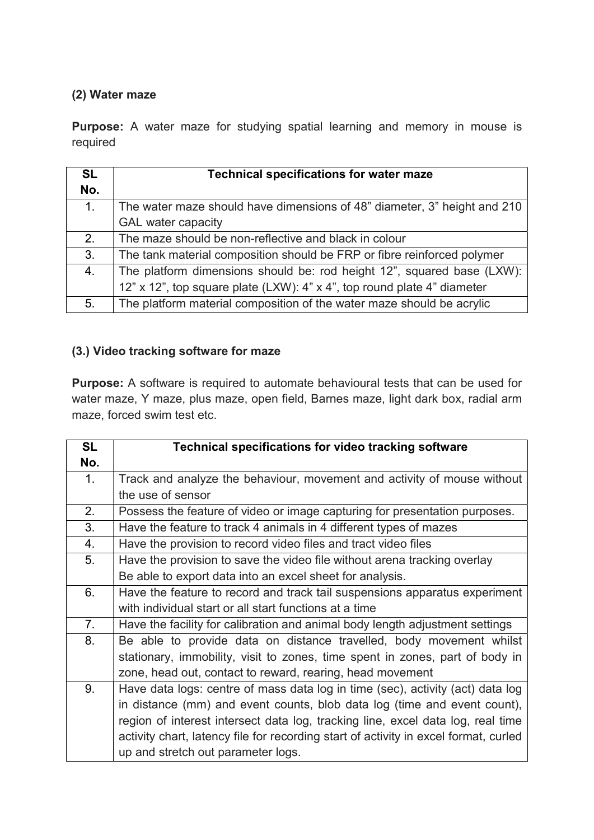## (2) Water maze

Purpose: A water maze for studying spatial learning and memory in mouse is required

| <b>SL</b>      | <b>Technical specifications for water maze</b>                           |
|----------------|--------------------------------------------------------------------------|
| No.            |                                                                          |
| 1 <sub>1</sub> | The water maze should have dimensions of 48" diameter, 3" height and 210 |
|                | <b>GAL</b> water capacity                                                |
| 2.             | The maze should be non-reflective and black in colour                    |
| 3.             | The tank material composition should be FRP or fibre reinforced polymer  |
| 4.             | The platform dimensions should be: rod height 12", squared base (LXW):   |
|                | 12" x 12", top square plate (LXW): 4" x 4", top round plate 4" diameter  |
| 5.             | The platform material composition of the water maze should be acrylic    |

## (3.) Video tracking software for maze

Purpose: A software is required to automate behavioural tests that can be used for water maze, Y maze, plus maze, open field, Barnes maze, light dark box, radial arm maze, forced swim test etc.

| <b>SL</b>      | <b>Technical specifications for video tracking software</b>                          |
|----------------|--------------------------------------------------------------------------------------|
| No.            |                                                                                      |
| $\mathbf{1}$ . | Track and analyze the behaviour, movement and activity of mouse without              |
|                | the use of sensor                                                                    |
| 2.             | Possess the feature of video or image capturing for presentation purposes.           |
| 3.             | Have the feature to track 4 animals in 4 different types of mazes                    |
| 4.             | Have the provision to record video files and tract video files                       |
| 5.             | Have the provision to save the video file without arena tracking overlay             |
|                | Be able to export data into an excel sheet for analysis.                             |
| 6.             | Have the feature to record and track tail suspensions apparatus experiment           |
|                | with individual start or all start functions at a time                               |
| 7 <sub>1</sub> | Have the facility for calibration and animal body length adjustment settings         |
| 8.             | Be able to provide data on distance travelled, body movement whilst                  |
|                | stationary, immobility, visit to zones, time spent in zones, part of body in         |
|                | zone, head out, contact to reward, rearing, head movement                            |
| 9.             | Have data logs: centre of mass data log in time (sec), activity (act) data log       |
|                | in distance (mm) and event counts, blob data log (time and event count),             |
|                | region of interest intersect data log, tracking line, excel data log, real time      |
|                | activity chart, latency file for recording start of activity in excel format, curled |
|                | up and stretch out parameter logs.                                                   |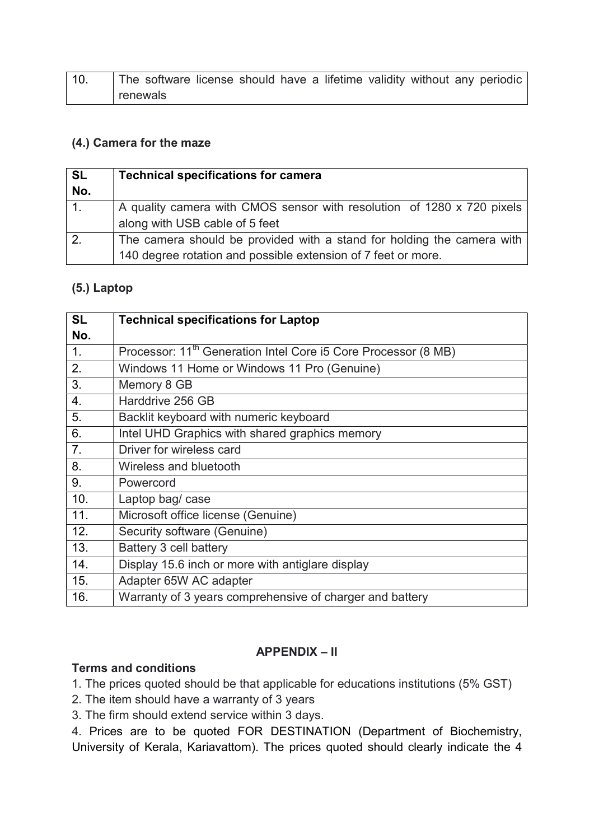| 10 <sub>1</sub> | The software license should have a lifetime validity without any periodic |  |  |  |  |  |
|-----------------|---------------------------------------------------------------------------|--|--|--|--|--|
|                 | renewals                                                                  |  |  |  |  |  |

#### (4.) Camera for the maze

| <b>SL</b><br>No. | <b>Technical specifications for camera</b>                                                                                              |
|------------------|-----------------------------------------------------------------------------------------------------------------------------------------|
| 1 <sub>1</sub>   | A quality camera with CMOS sensor with resolution of 1280 x 720 pixels<br>along with USB cable of 5 feet                                |
| 2.               | The camera should be provided with a stand for holding the camera with<br>140 degree rotation and possible extension of 7 feet or more. |

#### (5.) Laptop

| <b>SL</b>        | <b>Technical specifications for Laptop</b>                                 |
|------------------|----------------------------------------------------------------------------|
| No.              |                                                                            |
| 1 <sub>1</sub>   | Processor: 11 <sup>th</sup> Generation Intel Core i5 Core Processor (8 MB) |
| 2.               | Windows 11 Home or Windows 11 Pro (Genuine)                                |
| 3.               | Memory 8 GB                                                                |
| $\overline{4}$ . | Harddrive 256 GB                                                           |
| 5.               | Backlit keyboard with numeric keyboard                                     |
| 6.               | Intel UHD Graphics with shared graphics memory                             |
| 7.               | Driver for wireless card                                                   |
| 8.               | Wireless and bluetooth                                                     |
| 9.               | Powercord                                                                  |
| 10.              | Laptop bag/ case                                                           |
| 11.              | Microsoft office license (Genuine)                                         |
| 12.              | Security software (Genuine)                                                |
| 13.              | Battery 3 cell battery                                                     |
| 14.              | Display 15.6 inch or more with antiglare display                           |
| 15.              | Adapter 65W AC adapter                                                     |
| 16.              | Warranty of 3 years comprehensive of charger and battery                   |

### APPENDIX – II

#### Terms and conditions

1. The prices quoted should be that applicable for educations institutions (5% GST)

- 2. The item should have a warranty of 3 years
- 3. The firm should extend service within 3 days.

4. Prices are to be quoted FOR DESTINATION (Department of Biochemistry, University of Kerala, Kariavattom). The prices quoted should clearly indicate the 4